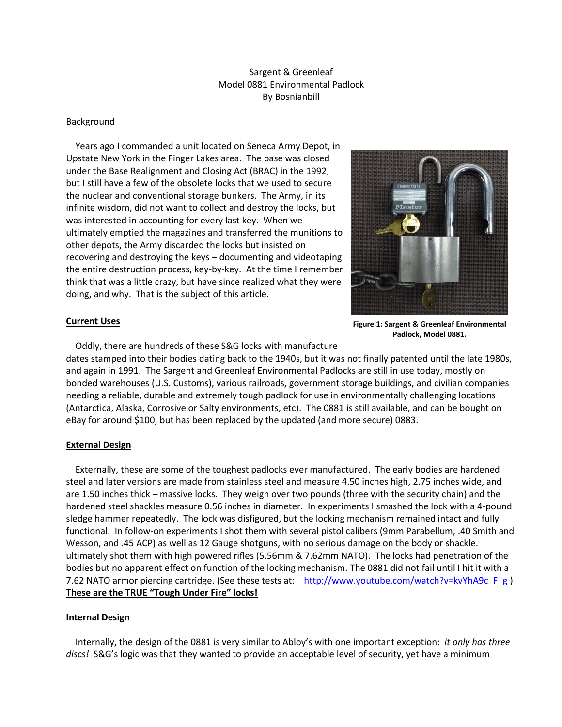# Sargent & Greenleaf Model 0881 Environmental Padlock By Bosnianbill

#### Background

 Years ago I commanded a unit located on Seneca Army Depot, in Upstate New York in the Finger Lakes area. The base was closed under the Base Realignment and Closing Act (BRAC) in the 1992, but I still have a few of the obsolete locks that we used to secure the nuclear and conventional storage bunkers. The Army, in its infinite wisdom, did not want to collect and destroy the locks, but was interested in accounting for every last key. When we ultimately emptied the magazines and transferred the munitions to other depots, the Army discarded the locks but insisted on recovering and destroying the keys – documenting and videotaping the entire destruction process, key-by-key. At the time I remember think that was a little crazy, but have since realized what they were doing, and why. That is the subject of this article.



**Figure 1: Sargent & Greenleaf Environmental Padlock, Model 0881.**

#### **Current Uses**

Oddly, there are hundreds of these S&G locks with manufacture

dates stamped into their bodies dating back to the 1940s, but it was not finally patented until the late 1980s, and again in 1991. The Sargent and Greenleaf Environmental Padlocks are still in use today, mostly on bonded warehouses (U.S. Customs), various railroads, government storage buildings, and civilian companies needing a reliable, durable and extremely tough padlock for use in environmentally challenging locations (Antarctica, Alaska, Corrosive or Salty environments, etc). The 0881 is still available, and can be bought on eBay for around \$100, but has been replaced by the updated (and more secure) 0883.

# **External Design**

 Externally, these are some of the toughest padlocks ever manufactured. The early bodies are hardened steel and later versions are made from stainless steel and measure 4.50 inches high, 2.75 inches wide, and are 1.50 inches thick – massive locks. They weigh over two pounds (three with the security chain) and the hardened steel shackles measure 0.56 inches in diameter. In experiments I smashed the lock with a 4-pound sledge hammer repeatedly. The lock was disfigured, but the locking mechanism remained intact and fully functional. In follow-on experiments I shot them with several pistol calibers (9mm Parabellum, .40 Smith and Wesson, and .45 ACP) as well as 12 Gauge shotguns, with no serious damage on the body or shackle. I ultimately shot them with high powered rifles (5.56mm & 7.62mm NATO). The locks had penetration of the bodies but no apparent effect on function of the locking mechanism. The 0881 did not fail until I hit it with a 7.62 NATO armor piercing cartridge. (See these tests at: http://www.youtube.com/watch?v=kvYhA9c F g ) **These are the TRUE "Tough Under Fire" locks!** 

# **Internal Design**

 Internally, the design of the 0881 is very similar to Abloy's with one important exception: *it only has three discs!* S&G's logic was that they wanted to provide an acceptable level of security, yet have a minimum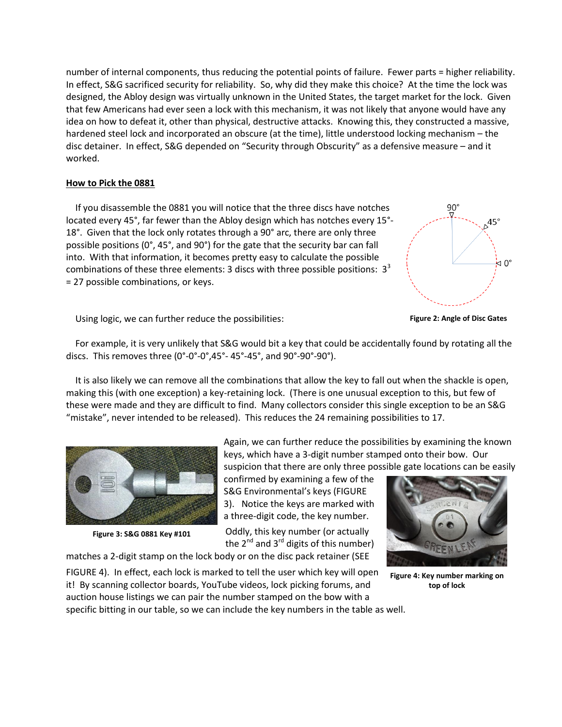number of internal components, thus reducing the potential points of failure. Fewer parts = higher reliability. In effect, S&G sacrificed security for reliability. So, why did they make this choice? At the time the lock was designed, the Abloy design was virtually unknown in the United States, the target market for the lock. Given that few Americans had ever seen a lock with this mechanism, it was not likely that anyone would have any idea on how to defeat it, other than physical, destructive attacks. Knowing this, they constructed a massive, hardened steel lock and incorporated an obscure (at the time), little understood locking mechanism – the disc detainer. In effect, S&G depended on "Security through Obscurity" as a defensive measure – and it worked.

#### **How to Pick the 0881**

 If you disassemble the 0881 you will notice that the three discs have notches located every 45°, far fewer than the Abloy design which has notches every 15°- 18°. Given that the lock only rotates through a 90° arc, there are only three possible positions (0°, 45°, and 90°) for the gate that the security bar can fall into. With that information, it becomes pretty easy to calculate the possible combinations of these three elements: 3 discs with three possible positions:  $3<sup>3</sup>$ = 27 possible combinations, or keys.



Using logic, we can further reduce the possibilities:



 For example, it is very unlikely that S&G would bit a key that could be accidentally found by rotating all the discs. This removes three  $(0^{\circ}$ -0°-0°,45°-45°, and 90°-90°-90°).

 It is also likely we can remove all the combinations that allow the key to fall out when the shackle is open, making this (with one exception) a key-retaining lock. (There is one unusual exception to this, but few of these were made and they are difficult to find. Many collectors consider this single exception to be an S&G "mistake", never intended to be released). This reduces the 24 remaining possibilities to 17.



**Figure 3: S&G 0881 Key #101**

Again, we can further reduce the possibilities by examining the known keys, which have a 3-digit number stamped onto their bow. Our suspicion that there are only three possible gate locations can be easily

confirmed by examining a few of the S&G Environmental's keys (FIGURE 3). Notice the keys are marked with a three-digit code, the key number.

Oddly, this key number (or actually the  $2^{nd}$  and  $3^{rd}$  digits of this number)

matches a 2-digit stamp on the lock body or on the disc pack retainer (SEE



**Figure 4: Key number marking on top of lock**

FIGURE 4). In effect, each lock is marked to tell the user which key will open it! By scanning collector boards, YouTube videos, lock picking forums, and auction house listings we can pair the number stamped on the bow with a specific bitting in our table, so we can include the key numbers in the table as well.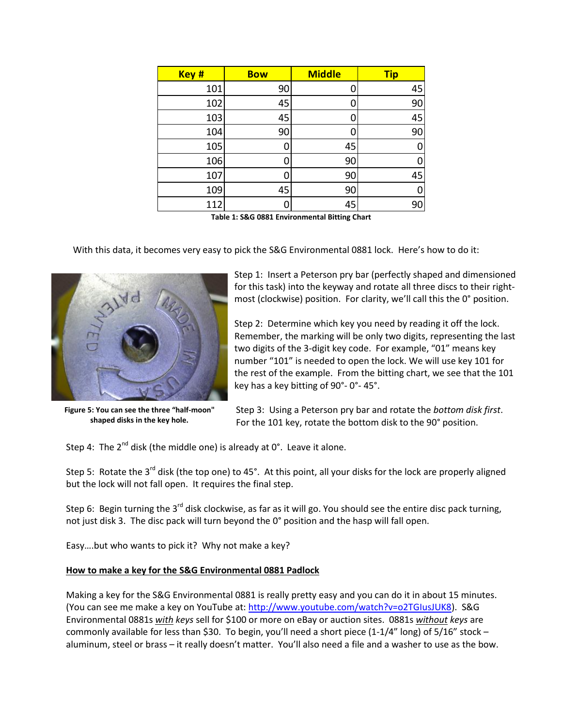| Key # | <b>Bow</b> | <b>Middle</b> | <b>Tip</b> |
|-------|------------|---------------|------------|
| 101   | 90         |               | 45         |
| 102   | 45         |               | 90         |
| 103   | 45         |               | 45         |
| 104   | 90         |               | 90         |
| 105   | 0          | 45            |            |
| 106   | 0          | 90            |            |
| 107   | Π          | 90            | 45         |
| 109   | 45         | 90            |            |
| 112   | 0          | 45            | 90         |

**Table 1: S&G 0881 Environmental Bitting Chart**

With this data, it becomes very easy to pick the S&G Environmental 0881 lock. Here's how to do it:



**Figure 5: You can see the three "half-moon" shaped disks in the key hole.**

Step 1: Insert a Peterson pry bar (perfectly shaped and dimensioned for this task) into the keyway and rotate all three discs to their rightmost (clockwise) position. For clarity, we'll call this the 0° position.

Step 2: Determine which key you need by reading it off the lock. Remember, the marking will be only two digits, representing the last two digits of the 3-digit key code. For example, "01" means key number "101" is needed to open the lock. We will use key 101 for the rest of the example. From the bitting chart, we see that the 101 key has a key bitting of 90°- 0°- 45°.

Step 3: Using a Peterson pry bar and rotate the *bottom disk first*. For the 101 key, rotate the bottom disk to the 90° position.

Step 4: The  $2^{nd}$  disk (the middle one) is already at  $0^{\circ}$ . Leave it alone.

Step 5: Rotate the 3<sup>rd</sup> disk (the top one) to 45°. At this point, all your disks for the lock are properly aligned but the lock will not fall open. It requires the final step.

Step 6: Begin turning the 3<sup>rd</sup> disk clockwise, as far as it will go. You should see the entire disc pack turning, not just disk 3. The disc pack will turn beyond the 0° position and the hasp will fall open.

Easy….but who wants to pick it? Why not make a key?

# **How to make a key for the S&G Environmental 0881 Padlock**

Making a key for the S&G Environmental 0881 is really pretty easy and you can do it in about 15 minutes. (You can see me make a key on YouTube at[: http://www.youtube.com/watch?v=o2TGIusJUK8\)](http://www.youtube.com/watch?v=o2TGIusJUK8). S&G Environmental 0881s *with keys* sell for \$100 or more on eBay or auction sites. 0881s *without keys* are commonly available for less than \$30. To begin, you'll need a short piece  $(1-1/4"$  long) of 5/16" stock – aluminum, steel or brass – it really doesn't matter. You'll also need a file and a washer to use as the bow.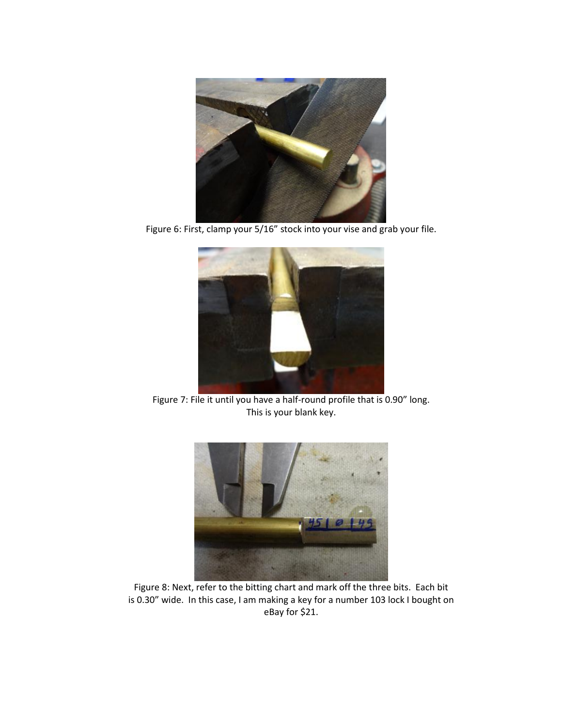

Figure 6: First, clamp your 5/16" stock into your vise and grab your file.



Figure 7: File it until you have a half-round profile that is 0.90" long. This is your blank key.



Figure 8: Next, refer to the bitting chart and mark off the three bits. Each bit is 0.30" wide. In this case, I am making a key for a number 103 lock I bought on eBay for \$21.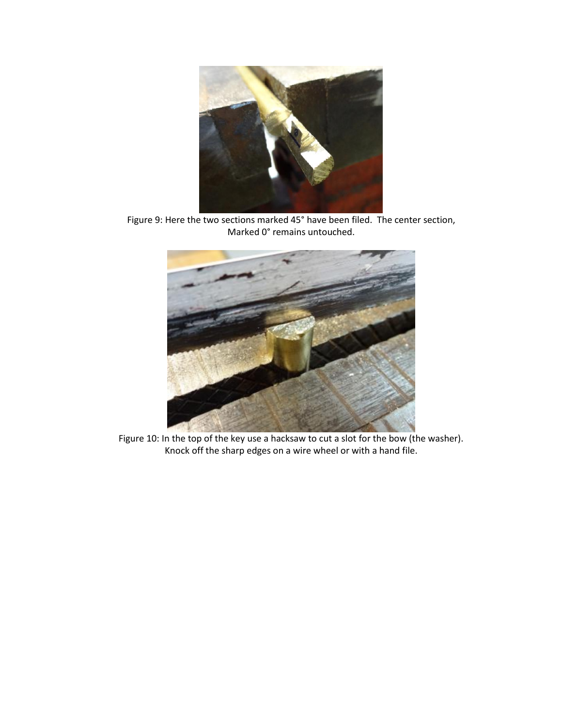

Figure 9: Here the two sections marked 45° have been filed. The center section, Marked 0° remains untouched.



Figure 10: In the top of the key use a hacksaw to cut a slot for the bow (the washer). Knock off the sharp edges on a wire wheel or with a hand file.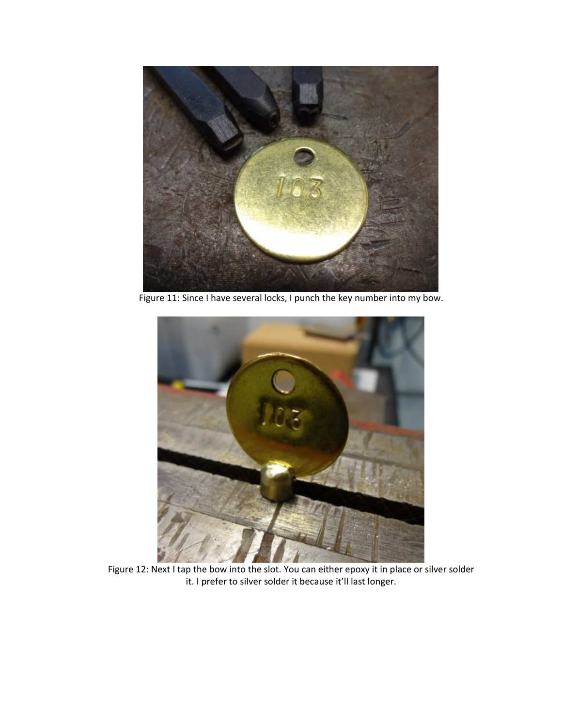

Figure 11: Since I have several locks, I punch the key number into my bow.



Figure 12: Next I tap the bow into the slot. You can either epoxy it in place or silver solder it. I prefer to silver solder it because it'll last longer.